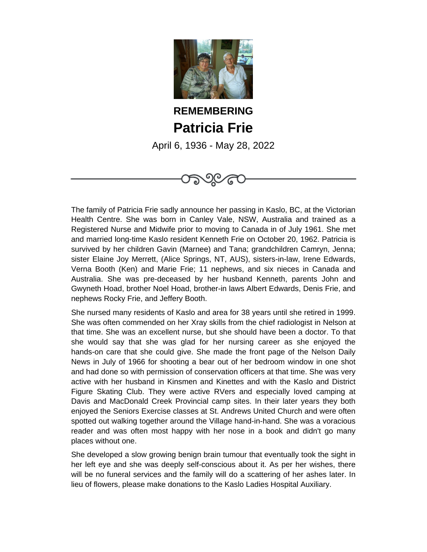

**REMEMBERING Patricia Frie**

April 6, 1936 - May 28, 2022

೨೬

The family of Patricia Frie sadly announce her passing in Kaslo, BC, at the Victorian Health Centre. She was born in Canley Vale, NSW, Australia and trained as a Registered Nurse and Midwife prior to moving to Canada in of July 1961. She met and married long-time Kaslo resident Kenneth Frie on October 20, 1962. Patricia is survived by her children Gavin (Marnee) and Tana; grandchildren Camryn, Jenna; sister Elaine Joy Merrett, (Alice Springs, NT, AUS), sisters-in-law, Irene Edwards, Verna Booth (Ken) and Marie Frie; 11 nephews, and six nieces in Canada and Australia. She was pre-deceased by her husband Kenneth, parents John and Gwyneth Hoad, brother Noel Hoad, brother-in laws Albert Edwards, Denis Frie, and nephews Rocky Frie, and Jeffery Booth.

She nursed many residents of Kaslo and area for 38 years until she retired in 1999. She was often commended on her Xray skills from the chief radiologist in Nelson at that time. She was an excellent nurse, but she should have been a doctor. To that she would say that she was glad for her nursing career as she enjoyed the hands-on care that she could give. She made the front page of the Nelson Daily News in July of 1966 for shooting a bear out of her bedroom window in one shot and had done so with permission of conservation officers at that time. She was very active with her husband in Kinsmen and Kinettes and with the Kaslo and District Figure Skating Club. They were active RVers and especially loved camping at Davis and MacDonald Creek Provincial camp sites. In their later years they both enjoyed the Seniors Exercise classes at St. Andrews United Church and were often spotted out walking together around the Village hand-in-hand. She was a voracious reader and was often most happy with her nose in a book and didn't go many places without one.

She developed a slow growing benign brain tumour that eventually took the sight in her left eye and she was deeply self-conscious about it. As per her wishes, there will be no funeral services and the family will do a scattering of her ashes later. In lieu of flowers, please make donations to the Kaslo Ladies Hospital Auxiliary.